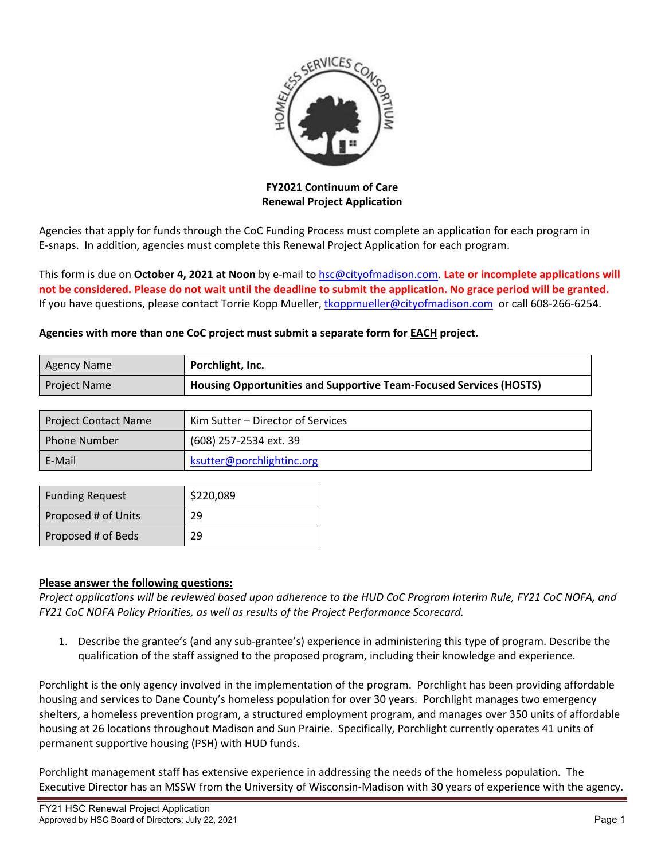

**FY2021 Continuum of Care Renewal Project Application**

Agencies that apply for funds through the CoC Funding Process must complete an application for each program in E‐snaps. In addition, agencies must complete this Renewal Project Application for each program.

This form is due on **October 4, 2021 at Noon** by e‐mail to hsc@cityofmadison.com. **Late or incomplete applications will** not be considered. Please do not wait until the deadline to submit the application. No grace period will be granted. If you have questions, please contact Torrie Kopp Mueller, tkoppmueller@cityofmadison.com or call 608-266-6254.

## **Agencies with more than one CoC project must submit a separate form for EACH project.**

| <b>Agency Name</b>  | Porchlight, Inc.                                                   |
|---------------------|--------------------------------------------------------------------|
| <b>Project Name</b> | Housing Opportunities and Supportive Team-Focused Services (HOSTS) |

| <b>Project Contact Name</b> | Kim Sutter – Director of Services |
|-----------------------------|-----------------------------------|
| <b>Phone Number</b>         | (608) 257-2534 ext. 39            |
| E-Mail                      | ksutter@porchlightinc.org         |

| <b>Funding Request</b> | \$220,089 |  |
|------------------------|-----------|--|
| Proposed # of Units    | 29        |  |
| Proposed # of Beds     | 29        |  |

## **Please answer the following questions:**

Project applications will be reviewed based upon adherence to the HUD CoC Program Interim Rule, FY21 CoC NOFA, and *FY21 CoC NOFA Policy Priorities, as well as results of the Project Performance Scorecard.*

1. Describe the grantee's (and any sub‐grantee's) experience in administering this type of program. Describe the qualification of the staff assigned to the proposed program, including their knowledge and experience.

Porchlight is the only agency involved in the implementation of the program. Porchlight has been providing affordable housing and services to Dane County's homeless population for over 30 years. Porchlight manages two emergency shelters, a homeless prevention program, a structured employment program, and manages over 350 units of affordable housing at 26 locations throughout Madison and Sun Prairie. Specifically, Porchlight currently operates 41 units of permanent supportive housing (PSH) with HUD funds.

Porchlight management staff has extensive experience in addressing the needs of the homeless population. The Executive Director has an MSSW from the University of Wisconsin‐Madison with 30 years of experience with the agency.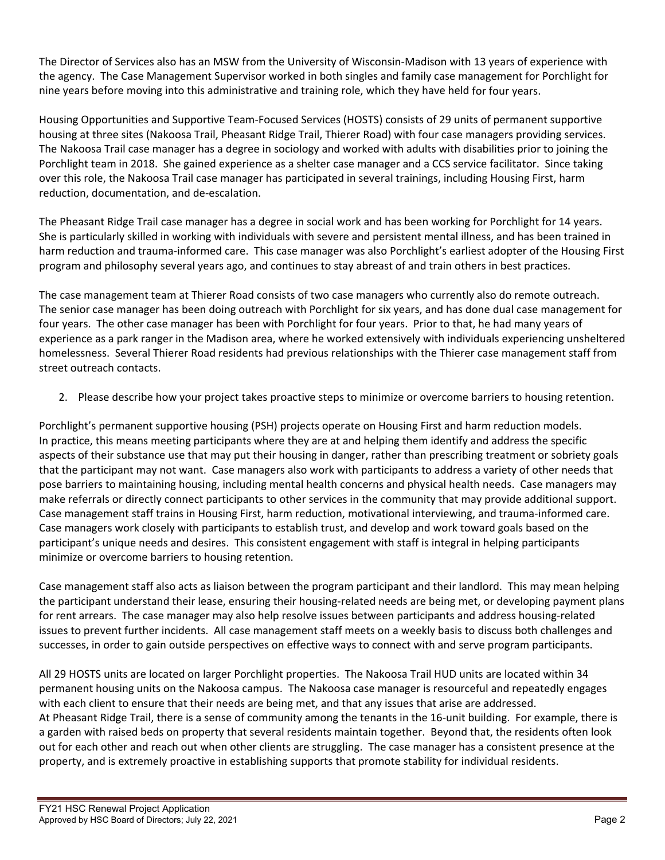The Director of Services also has an MSW from the University of Wisconsin‐Madison with 13 years of experience with the agency. The Case Management Supervisor worked in both singles and family case management for Porchlight for nine years before moving into this administrative and training role, which they have held for four years.

Housing Opportunities and Supportive Team‐Focused Services (HOSTS) consists of 29 units of permanent supportive housing at three sites (Nakoosa Trail, Pheasant Ridge Trail, Thierer Road) with four case managers providing services. The Nakoosa Trail case manager has a degree in sociology and worked with adults with disabilities prior to joining the Porchlight team in 2018. She gained experience as a shelter case manager and a CCS service facilitator. Since taking over this role, the Nakoosa Trail case manager has participated in several trainings, including Housing First, harm reduction, documentation, and de‐escalation.

The Pheasant Ridge Trail case manager has a degree in social work and has been working for Porchlight for 14 years. She is particularly skilled in working with individuals with severe and persistent mental illness, and has been trained in harm reduction and trauma‐informed care. This case manager was also Porchlight's earliest adopter of the Housing First program and philosophy several years ago, and continues to stay abreast of and train others in best practices.

The case management team at Thierer Road consists of two case managers who currently also do remote outreach. The senior case manager has been doing outreach with Porchlight for six years, and has done dual case management for four years. The other case manager has been with Porchlight for four years. Prior to that, he had many years of experience as a park ranger in the Madison area, where he worked extensively with individuals experiencing unsheltered homelessness. Several Thierer Road residents had previous relationships with the Thierer case management staff from street outreach contacts.

2. Please describe how your project takes proactive steps to minimize or overcome barriers to housing retention.

Porchlight's permanent supportive housing (PSH) projects operate on Housing First and harm reduction models. In practice, this means meeting participants where they are at and helping them identify and address the specific aspects of their substance use that may put their housing in danger, rather than prescribing treatment or sobriety goals that the participant may not want. Case managers also work with participants to address a variety of other needs that pose barriers to maintaining housing, including mental health concerns and physical health needs. Case managers may make referrals or directly connect participants to other services in the community that may provide additional support. Case management staff trains in Housing First, harm reduction, motivational interviewing, and trauma‐informed care. Case managers work closely with participants to establish trust, and develop and work toward goals based on the participant's unique needs and desires. This consistent engagement with staff is integral in helping participants minimize or overcome barriers to housing retention.

Case management staff also acts as liaison between the program participant and their landlord. This may mean helping the participant understand their lease, ensuring their housing‐related needs are being met, or developing payment plans for rent arrears. The case manager may also help resolve issues between participants and address housing‐related issues to prevent further incidents. All case management staff meets on a weekly basis to discuss both challenges and successes, in order to gain outside perspectives on effective ways to connect with and serve program participants.

All 29 HOSTS units are located on larger Porchlight properties. The Nakoosa Trail HUD units are located within 34 permanent housing units on the Nakoosa campus. The Nakoosa case manager is resourceful and repeatedly engages with each client to ensure that their needs are being met, and that any issues that arise are addressed. At Pheasant Ridge Trail, there is a sense of community among the tenants in the 16‐unit building. For example, there is a garden with raised beds on property that several residents maintain together. Beyond that, the residents often look out for each other and reach out when other clients are struggling. The case manager has a consistent presence at the property, and is extremely proactive in establishing supports that promote stability for individual residents.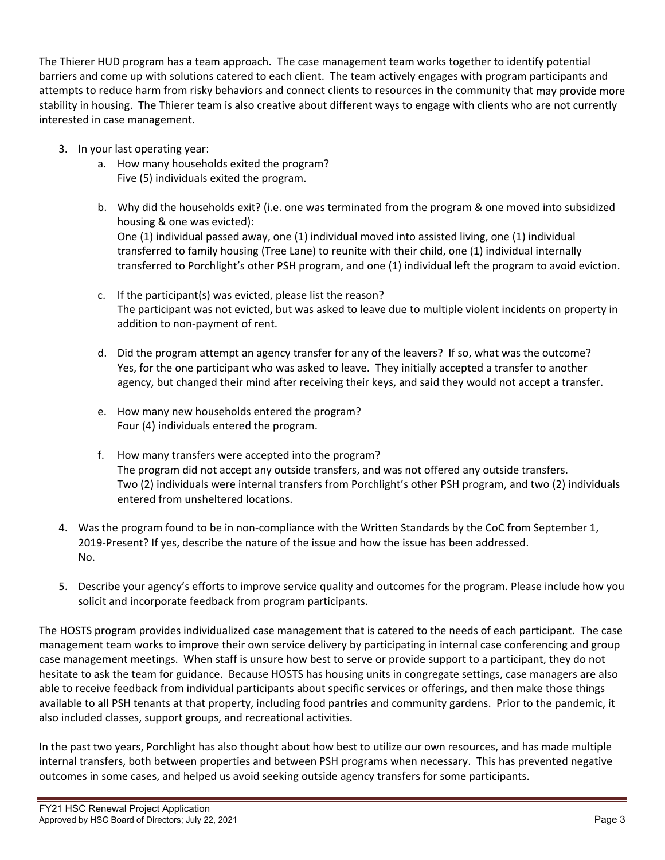The Thierer HUD program has a team approach. The case management team works together to identify potential barriers and come up with solutions catered to each client. The team actively engages with program participants and attempts to reduce harm from risky behaviors and connect clients to resources in the community that may provide more stability in housing. The Thierer team is also creative about different ways to engage with clients who are not currently interested in case management.

- 3. In your last operating year:
	- a. How many households exited the program? Five (5) individuals exited the program.
	- b. Why did the households exit? (i.e. one was terminated from the program & one moved into subsidized housing & one was evicted): One (1) individual passed away, one (1) individual moved into assisted living, one (1) individual transferred to family housing (Tree Lane) to reunite with their child, one (1) individual internally transferred to Porchlight's other PSH program, and one (1) individual left the program to avoid eviction.
	- c. If the participant(s) was evicted, please list the reason? The participant was not evicted, but was asked to leave due to multiple violent incidents on property in addition to non‐payment of rent.
	- d. Did the program attempt an agency transfer for any of the leavers? If so, what was the outcome? Yes, for the one participant who was asked to leave. They initially accepted a transfer to another agency, but changed their mind after receiving their keys, and said they would not accept a transfer.
	- e. How many new households entered the program? Four (4) individuals entered the program.
	- f. How many transfers were accepted into the program? The program did not accept any outside transfers, and was not offered any outside transfers. Two (2) individuals were internal transfers from Porchlight's other PSH program, and two (2) individuals entered from unsheltered locations.
- 4. Was the program found to be in non‐compliance with the Written Standards by the CoC from September 1, 2019-Present? If yes, describe the nature of the issue and how the issue has been addressed. No.
- 5. Describe your agency's efforts to improve service quality and outcomes for the program. Please include how you solicit and incorporate feedback from program participants.

The HOSTS program provides individualized case management that is catered to the needs of each participant. The case management team works to improve their own service delivery by participating in internal case conferencing and group case management meetings. When staff is unsure how best to serve or provide support to a participant, they do not hesitate to ask the team for guidance. Because HOSTS has housing units in congregate settings, case managers are also able to receive feedback from individual participants about specific services or offerings, and then make those things available to all PSH tenants at that property, including food pantries and community gardens. Prior to the pandemic, it also included classes, support groups, and recreational activities.

In the past two years, Porchlight has also thought about how best to utilize our own resources, and has made multiple internal transfers, both between properties and between PSH programs when necessary. This has prevented negative outcomes in some cases, and helped us avoid seeking outside agency transfers for some participants.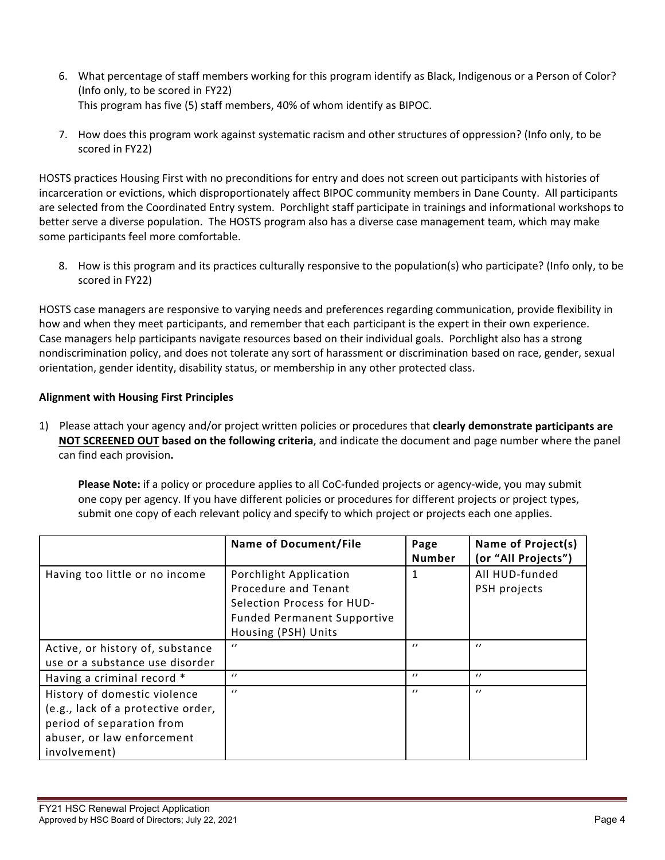- 6. What percentage of staff members working for this program identify as Black, Indigenous or a Person of Color? (Info only, to be scored in FY22) This program has five (5) staff members, 40% of whom identify as BIPOC.
- 7. How does this program work against systematic racism and other structures of oppression? (Info only, to be scored in FY22)

HOSTS practices Housing First with no preconditions for entry and does not screen out participants with histories of incarceration or evictions, which disproportionately affect BIPOC community members in Dane County. All participants are selected from the Coordinated Entry system. Porchlight staff participate in trainings and informational workshops to better serve a diverse population. The HOSTS program also has a diverse case management team, which may make some participants feel more comfortable.

8. How is this program and its practices culturally responsive to the population(s) who participate? (Info only, to be scored in FY22)

HOSTS case managers are responsive to varying needs and preferences regarding communication, provide flexibility in how and when they meet participants, and remember that each participant is the expert in their own experience. Case managers help participants navigate resources based on their individual goals. Porchlight also has a strong nondiscrimination policy, and does not tolerate any sort of harassment or discrimination based on race, gender, sexual orientation, gender identity, disability status, or membership in any other protected class.

## **Alignment with Housing First Principles**

1) Please attach your agency and/or project written policies or procedures that **clearly demonstrate participants are NOT SCREENED OUT based on the following criteria**, and indicate the document and page number where the panel can find each provision**.** 

**Please Note:** if a policy or procedure applies to all CoC-funded projects or agency-wide, you may submit one copy per agency. If you have different policies or procedures for different projects or project types, submit one copy of each relevant policy and specify to which project or projects each one applies.

|                                    | <b>Name of Document/File</b>       | Page<br><b>Number</b> | Name of Project(s)<br>(or "All Projects") |
|------------------------------------|------------------------------------|-----------------------|-------------------------------------------|
| Having too little or no income     | Porchlight Application             | 1                     | All HUD-funded                            |
|                                    | Procedure and Tenant               |                       | PSH projects                              |
|                                    | Selection Process for HUD-         |                       |                                           |
|                                    | <b>Funded Permanent Supportive</b> |                       |                                           |
|                                    | Housing (PSH) Units                |                       |                                           |
| Active, or history of, substance   | $\prime$                           | $\prime$              | $\prime$                                  |
| use or a substance use disorder    |                                    |                       |                                           |
| Having a criminal record *         | $\prime$                           | $\prime$              | $\prime$                                  |
| History of domestic violence       | $\prime$                           | $\prime$              | $\prime$                                  |
| (e.g., lack of a protective order, |                                    |                       |                                           |
| period of separation from          |                                    |                       |                                           |
| abuser, or law enforcement         |                                    |                       |                                           |
| involvement)                       |                                    |                       |                                           |